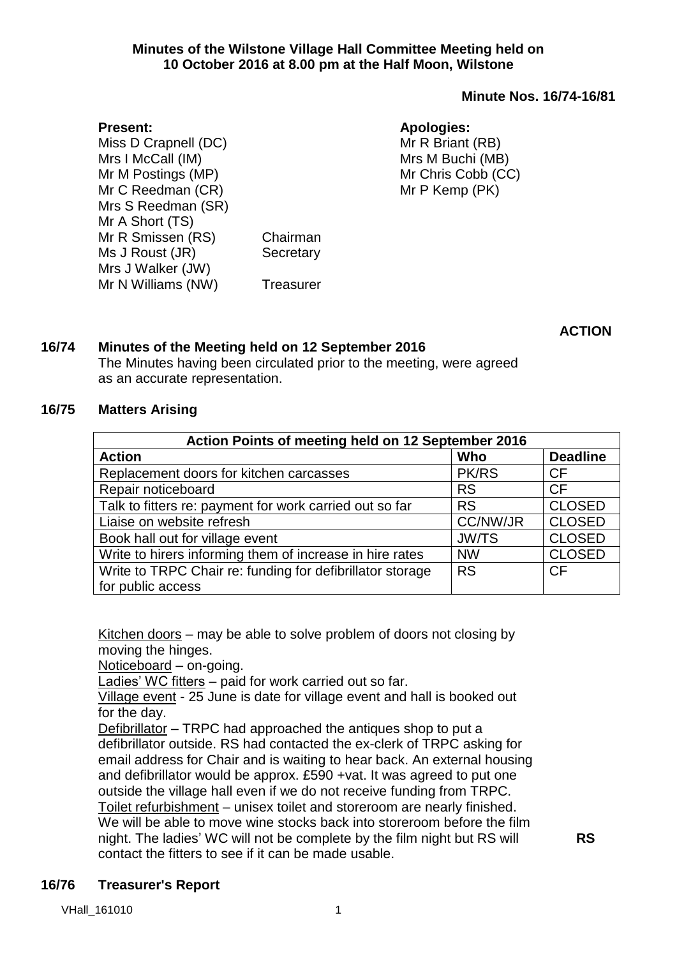### **Minute Nos. 16/74-16/81**

#### **Present:**

Miss D Crapnell (DC) Mrs I McCall (IM) Mr M Postings (MP) Mr C Reedman (CR) Mrs S Reedman (SR) Mr A Short (TS) Mr R Smissen (RS) Chairman Ms J Roust (JR) Secretary Mrs J Walker (JW) Mr N Williams (NW) Treasurer

**Apologies:** Mr R Briant (RB) Mrs M Buchi (MB) Mr Chris Cobb (CC) Mr P Kemp (PK)

**ACTION**

### **16/74 Minutes of the Meeting held on 12 September 2016**

The Minutes having been circulated prior to the meeting, were agreed as an accurate representation.

#### **16/75 Matters Arising**

| Action Points of meeting held on 12 September 2016        |                 |                 |  |  |  |
|-----------------------------------------------------------|-----------------|-----------------|--|--|--|
| <b>Action</b>                                             | Who             | <b>Deadline</b> |  |  |  |
| Replacement doors for kitchen carcasses                   | <b>PK/RS</b>    | CF              |  |  |  |
| Repair noticeboard                                        | <b>RS</b>       | <b>CF</b>       |  |  |  |
| Talk to fitters re: payment for work carried out so far   | <b>RS</b>       | <b>CLOSED</b>   |  |  |  |
| Liaise on website refresh                                 | <b>CC/NW/JR</b> | <b>CLOSED</b>   |  |  |  |
| Book hall out for village event                           | <b>JW/TS</b>    | <b>CLOSED</b>   |  |  |  |
| Write to hirers informing them of increase in hire rates  | <b>NW</b>       | <b>CLOSED</b>   |  |  |  |
| Write to TRPC Chair re: funding for defibrillator storage | <b>RS</b>       | <b>CF</b>       |  |  |  |
| for public access                                         |                 |                 |  |  |  |

Kitchen doors – may be able to solve problem of doors not closing by moving the hinges.

Noticeboard – on-going.

Ladies' WC fitters - paid for work carried out so far.

Village event - 25 June is date for village event and hall is booked out for the day.

Defibrillator – TRPC had approached the antiques shop to put a defibrillator outside. RS had contacted the ex-clerk of TRPC asking for email address for Chair and is waiting to hear back. An external housing and defibrillator would be approx. £590 +vat. It was agreed to put one outside the village hall even if we do not receive funding from TRPC. Toilet refurbishment – unisex toilet and storeroom are nearly finished. We will be able to move wine stocks back into storeroom before the film night. The ladies' WC will not be complete by the film night but RS will contact the fitters to see if it can be made usable.

**RS**

## **16/76 Treasurer's Report**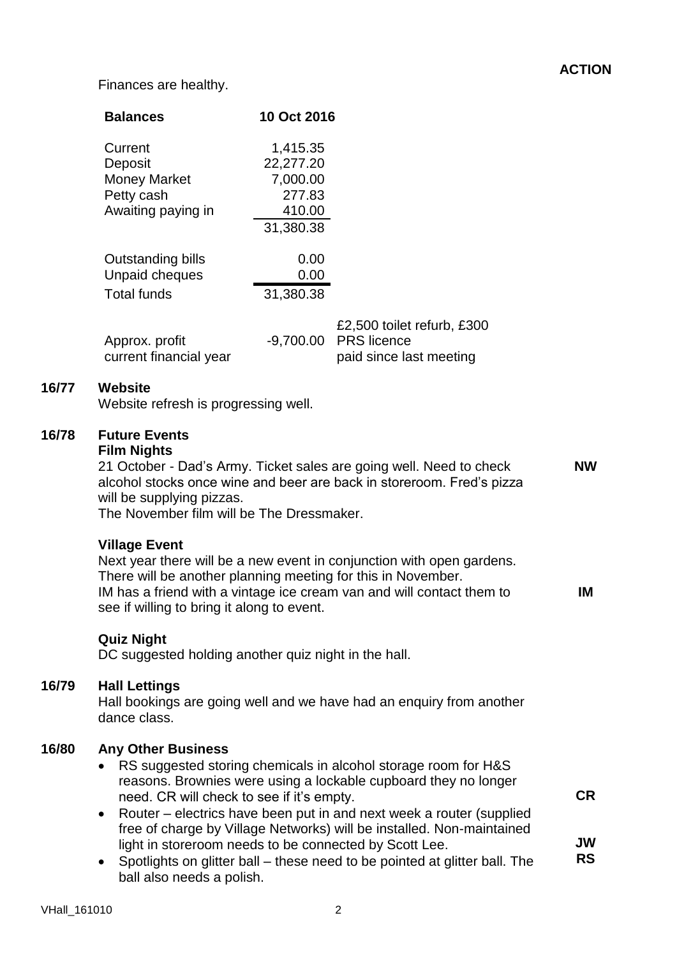# **ACTION**

Finances are healthy.

|       | <b>Balances</b>                                                                                                                                                                                                                                                                                                                                                                                                                                                                                                                                                                 | 10 Oct 2016                                                        |                                                                                                                                                                                                                                                                                                                                                                  |                              |
|-------|---------------------------------------------------------------------------------------------------------------------------------------------------------------------------------------------------------------------------------------------------------------------------------------------------------------------------------------------------------------------------------------------------------------------------------------------------------------------------------------------------------------------------------------------------------------------------------|--------------------------------------------------------------------|------------------------------------------------------------------------------------------------------------------------------------------------------------------------------------------------------------------------------------------------------------------------------------------------------------------------------------------------------------------|------------------------------|
|       | Current<br>Deposit<br><b>Money Market</b><br>Petty cash<br>Awaiting paying in                                                                                                                                                                                                                                                                                                                                                                                                                                                                                                   | 1,415.35<br>22,277.20<br>7,000.00<br>277.83<br>410.00<br>31,380.38 |                                                                                                                                                                                                                                                                                                                                                                  |                              |
|       | Outstanding bills<br>Unpaid cheques<br><b>Total funds</b>                                                                                                                                                                                                                                                                                                                                                                                                                                                                                                                       | 0.00<br>0.00<br>31,380.38                                          |                                                                                                                                                                                                                                                                                                                                                                  |                              |
|       | Approx. profit<br>current financial year                                                                                                                                                                                                                                                                                                                                                                                                                                                                                                                                        | $-9,700.00$                                                        | £2,500 toilet refurb, £300<br><b>PRS</b> licence<br>paid since last meeting                                                                                                                                                                                                                                                                                      |                              |
| 16/77 | <b>Website</b><br>Website refresh is progressing well.                                                                                                                                                                                                                                                                                                                                                                                                                                                                                                                          |                                                                    |                                                                                                                                                                                                                                                                                                                                                                  |                              |
| 16/78 | <b>Future Events</b><br><b>Film Nights</b><br>21 October - Dad's Army. Ticket sales are going well. Need to check<br><b>NW</b><br>alcohol stocks once wine and beer are back in storeroom. Fred's pizza<br>will be supplying pizzas.<br>The November film will be The Dressmaker.<br><b>Village Event</b><br>Next year there will be a new event in conjunction with open gardens.<br>There will be another planning meeting for this in November.<br>IM has a friend with a vintage ice cream van and will contact them to<br>IM<br>see if willing to bring it along to event. |                                                                    |                                                                                                                                                                                                                                                                                                                                                                  |                              |
|       | <b>Quiz Night</b><br>DC suggested holding another quiz night in the hall.                                                                                                                                                                                                                                                                                                                                                                                                                                                                                                       |                                                                    |                                                                                                                                                                                                                                                                                                                                                                  |                              |
| 16/79 | <b>Hall Lettings</b><br>Hall bookings are going well and we have had an enquiry from another<br>dance class.                                                                                                                                                                                                                                                                                                                                                                                                                                                                    |                                                                    |                                                                                                                                                                                                                                                                                                                                                                  |                              |
| 16/80 | <b>Any Other Business</b><br>need. CR will check to see if it's empty.<br>light in storeroom needs to be connected by Scott Lee.<br>$\bullet$<br>ball also needs a polish.                                                                                                                                                                                                                                                                                                                                                                                                      |                                                                    | RS suggested storing chemicals in alcohol storage room for H&S<br>reasons. Brownies were using a lockable cupboard they no longer<br>Router – electrics have been put in and next week a router (supplied<br>free of charge by Village Networks) will be installed. Non-maintained<br>Spotlights on glitter ball – these need to be pointed at glitter ball. The | <b>CR</b><br>JW<br><b>RS</b> |